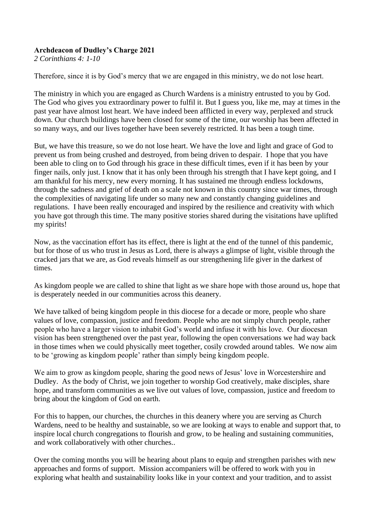## **Archdeacon of Dudley's Charge 2021**

*2 Corinthians 4: 1-10*

Therefore, since it is by God's mercy that we are engaged in this ministry, we do not lose heart.

The ministry in which you are engaged as Church Wardens is a ministry entrusted to you by God. The God who gives you extraordinary power to fulfil it. But I guess you, like me, may at times in the past year have almost lost heart. We have indeed been afflicted in every way, perplexed and struck down. Our church buildings have been closed for some of the time, our worship has been affected in so many ways, and our lives together have been severely restricted. It has been a tough time.

But, we have this treasure, so we do not lose heart. We have the love and light and grace of God to prevent us from being crushed and destroyed, from being driven to despair. I hope that you have been able to cling on to God through his grace in these difficult times, even if it has been by your finger nails, only just. I know that it has only been through his strength that I have kept going, and I am thankful for his mercy, new every morning. It has sustained me through endless lockdowns, through the sadness and grief of death on a scale not known in this country since war times, through the complexities of navigating life under so many new and constantly changing guidelines and regulations. I have been really encouraged and inspired by the resilience and creativity with which you have got through this time. The many positive stories shared during the visitations have uplifted my spirits!

Now, as the vaccination effort has its effect, there is light at the end of the tunnel of this pandemic, but for those of us who trust in Jesus as Lord, there is always a glimpse of light, visible through the cracked jars that we are, as God reveals himself as our strengthening life giver in the darkest of times.

As kingdom people we are called to shine that light as we share hope with those around us, hope that is desperately needed in our communities across this deanery.

We have talked of being kingdom people in this diocese for a decade or more, people who share values of love, compassion, justice and freedom. People who are not simply church people, rather people who have a larger vision to inhabit God's world and infuse it with his love. Our diocesan vision has been strengthened over the past year, following the open conversations we had way back in those times when we could physically meet together, cosily crowded around tables. We now aim to be 'growing as kingdom people' rather than simply being kingdom people.

We aim to grow as kingdom people, sharing the good news of Jesus' love in Worcestershire and Dudley. As the body of Christ, we join together to worship God creatively, make disciples, share hope, and transform communities as we live out values of love, compassion, justice and freedom to bring about the kingdom of God on earth.

For this to happen, our churches, the churches in this deanery where you are serving as Church Wardens, need to be healthy and sustainable, so we are looking at ways to enable and support that, to inspire local church congregations to flourish and grow, to be healing and sustaining communities, and work collaboratively with other churches..

Over the coming months you will be hearing about plans to equip and strengthen parishes with new approaches and forms of support. Mission accompaniers will be offered to work with you in exploring what health and sustainability looks like in your context and your tradition, and to assist